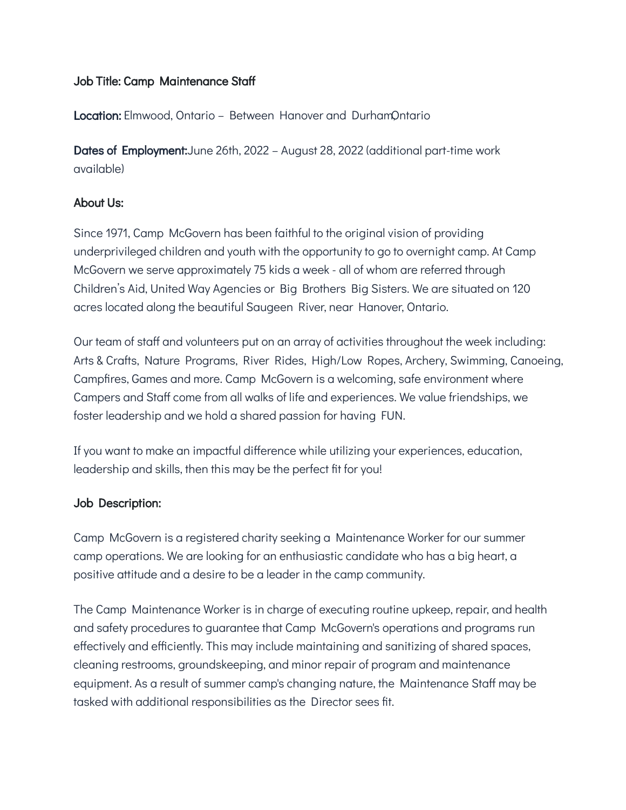# Job Title: Camp Maintenance Staff

Location: Elmwood, Ontario - Between Hanover and DurhamOntario

Dates of Employment:June 26th, 2022 – August 28, 2022 (additional part-time work available)

## About Us:

Since 1971, Camp McGovern has been faithful to the original vision of providing underprivileged children and youth with the opportunity to go to overnight camp. At Camp McGovern we serve approximately 75 kids a week - all of whom are referred through Children's Aid, United Way Agencies or Big Brothers Big Sisters. We are situated on 120 acres located along the beautiful Saugeen River, near Hanover, Ontario.

Our team of staff and volunteers put on an array of activities throughout the week including: Arts & Crafts, Nature Programs, River Rides, High/Low Ropes, Archery, Swimming, Canoeing, Campfires, Games and more. Camp McGovern is a welcoming, safe environment where Campers and Staff come from all walks of life and experiences. We value friendships, we foster leadership and we hold a shared passion for having FUN.

If you want to make an impactful difference while utilizing your experiences, education, leadership and skills, then this may be the perfect fit for you!

# Job Description:

Camp McGovern is a registered charity seeking a Maintenance Worker for our summer camp operations. We are looking for an enthusiastic candidate who has a big heart, a positive attitude and a desire to be a leader in the camp community.

The Camp Maintenance Worker is in charge of executing routine upkeep, repair, and health and safety procedures to guarantee that Camp McGovern's operations and programs run effectively and efficiently. This may include maintaining and sanitizing of shared spaces, cleaning restrooms, groundskeeping, and minor repair of program and maintenance equipment. As a result of summer camp's changing nature, the Maintenance Staff may be tasked with additional responsibilities as the Director sees fit.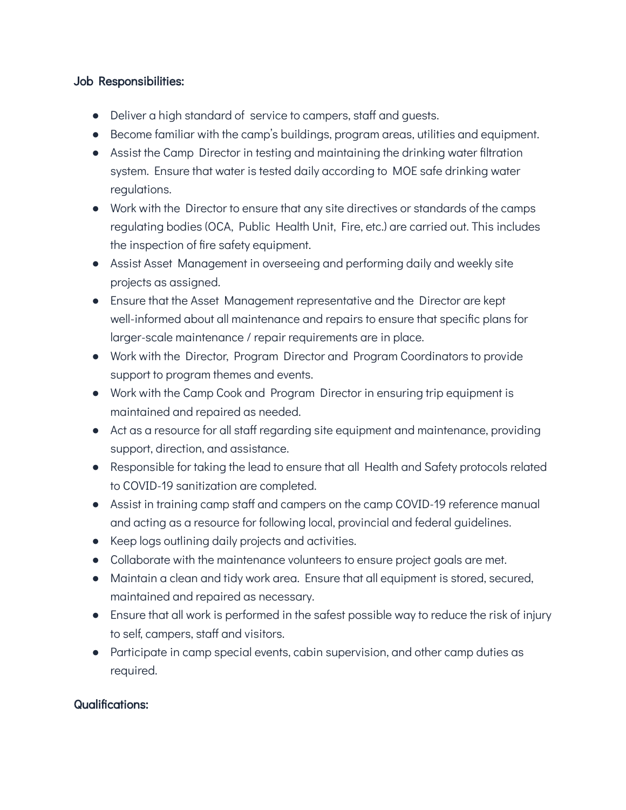# Job Responsibilities:

- Deliver a high standard of service to campers, staff and guests.
- Become familiar with the camp's buildings, program areas, utilities and equipment.
- Assist the Camp Director in testing and maintaining the drinking water filtration system. Ensure that water is tested daily according to MOE safe drinking water regulations.
- Work with the Director to ensure that any site directives or standards of the camps regulating bodies (OCA, Public Health Unit, Fire, etc.) are carried out. This includes the inspection of fire safety equipment.
- Assist Asset Management in overseeing and performing daily and weekly site projects as assigned.
- Ensure that the Asset Management representative and the Director are kept well-informed about all maintenance and repairs to ensure that specific plans for larger-scale maintenance / repair requirements are in place.
- Work with the Director, Program Director and Program Coordinators to provide support to program themes and events.
- Work with the Camp Cook and Program Director in ensuring trip equipment is maintained and repaired as needed.
- Act as a resource for all staff regarding site equipment and maintenance, providing support, direction, and assistance.
- Responsible for taking the lead to ensure that all Health and Safety protocols related to COVID-19 sanitization are completed.
- Assist in training camp staff and campers on the camp COVID-19 reference manual and acting as a resource for following local, provincial and federal guidelines.
- Keep logs outlining daily projects and activities.
- Collaborate with the maintenance volunteers to ensure project goals are met.
- Maintain a clean and tidy work area. Ensure that all equipment is stored, secured, maintained and repaired as necessary.
- Ensure that all work is performed in the safest possible way to reduce the risk of injury to self, campers, staff and visitors.
- Participate in camp special events, cabin supervision, and other camp duties as required.

# Qualifications: